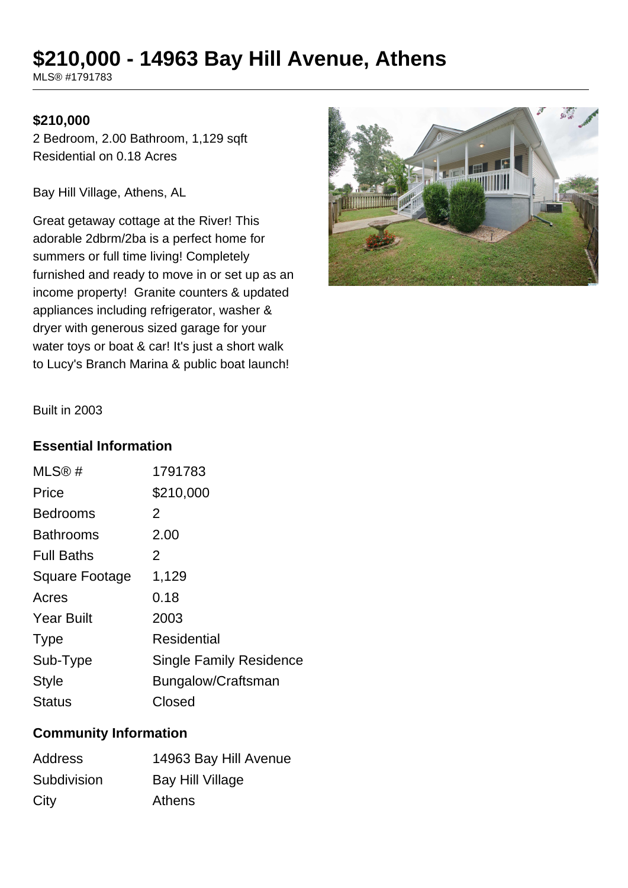# **\$210,000 - 14963 Bay Hill Avenue, Athens**

MLS® #1791783

## **\$210,000**

2 Bedroom, 2.00 Bathroom, 1,129 sqft Residential on 0.18 Acres

Bay Hill Village, Athens, AL

Great getaway cottage at the River! This adorable 2dbrm/2ba is a perfect home for summers or full time living! Completely furnished and ready to move in or set up as an income property! Granite counters & updated appliances including refrigerator, washer & dryer with generous sized garage for your water toys or boat & car! It's just a short walk to Lucy's Branch Marina & public boat launch!



Built in 2003

#### **Essential Information**

| MLS@#             | 1791783                        |
|-------------------|--------------------------------|
| Price             | \$210,000                      |
| <b>Bedrooms</b>   | 2                              |
| <b>Bathrooms</b>  | 2.00                           |
| <b>Full Baths</b> | 2                              |
| Square Footage    | 1,129                          |
| Acres             | 0.18                           |
| <b>Year Built</b> | 2003                           |
| <b>Type</b>       | Residential                    |
| Sub-Type          | <b>Single Family Residence</b> |
| <b>Style</b>      | Bungalow/Craftsman             |
| <b>Status</b>     | Closed                         |

#### **Community Information**

| <b>Address</b> | 14963 Bay Hill Avenue |
|----------------|-----------------------|
| Subdivision    | Bay Hill Village      |
| City           | Athens                |